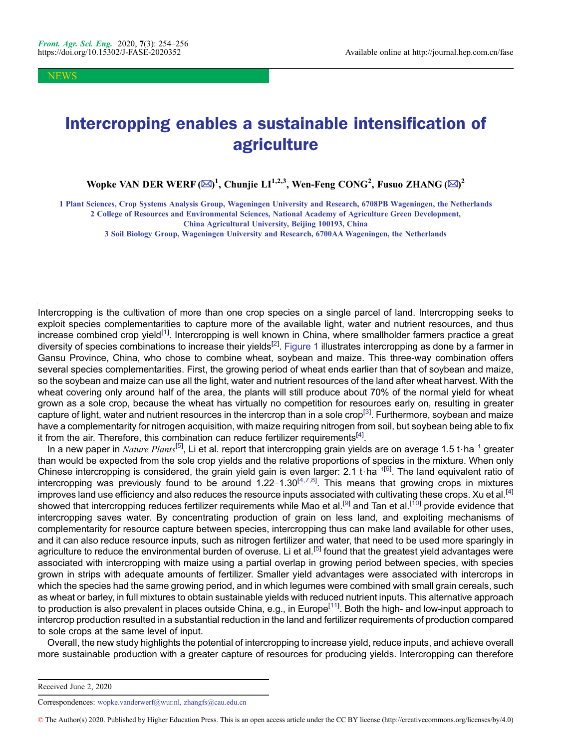NEWS

## Intercropping enables a sustainable intensification of agriculture

Wopke VAN DER WERF ( $\boxtimes$ )<sup>1</sup>, Chunjie LI<sup>1,2,3</sup>, Wen-Feng CONG<sup>2</sup>, Fusuo ZHANG ( $\boxtimes$ )<sup>2</sup>

1 Plant Sciences, Crop Systems Analysis Group, Wageningen University and Research, 6708PB Wageningen, the Netherlands 2 College of Resources and Environmental Sciences, National Academy of Agriculture Green Development,

3 Soil Biology Group, Wageningen University and Research, 6700AA Wageningen, the Netherlands

Intercropping is the cultivation of more than one crop species on a single parcel of land. Intercropping seeks to exploit species complementarities to capture more of the available light, water and nutrient resources, and thus increase combined crop yield<sup>[\[1](#page-1-0)]</sup>. Intercropping is well known in China, where smallholder farmers practice a great diversity of species combinations to increase their yields<sup>[[2\]](#page-1-0)</sup>. Figure 1 illustrates intercropping as done by a farmer in Gansu Province, China, who chose to combine wheat, soybean and maize. This three-way combination offers several species complementarities. First, the growing period of wheat ends earlier than that of soybean and maize, so the soybean and maize can use all the light, water and nutrient resources of the land after wheat harvest. With the wheat covering only around half of the area, the plants will still produce about 70% of the normal yield for wheat grown as a sole crop, because the wheat has virtually no competition for resources early on, resulting in greater capture of light, water and nutrient resources in the intercrop than in a sole crop<sup>[[3](#page-1-0)]</sup>. Furthermore, soybean and maize have a complementarity for nitrogen acquisition, with maize requiring nitrogen from soil, but soybean being able to fix it from the air. Therefore, this combination can reduce fertilizer requirements<sup>[\[4\]](#page-1-0)</sup>.

In a new paper in  $\textit{Nature Plants}^{[5]}$  $\textit{Nature Plants}^{[5]}$  $\textit{Nature Plants}^{[5]}$ , Li et al. report that intercropping grain yields are on average 1.5 t $\cdot$ ha $^{-1}$  greater than would be expected from the sole crop yields and the relative proportions of species in the mixture. When only Chinese intercropping is considered, the grain yield gain is even larger: 2.1 t $\cdot$ ha<sup>-1[[6\]](#page-1-0)</sup>. The land equivalent ratio of intercropping was previously found to be around 1.22–1.30<sup>[[4,7,8](#page-1-0)]</sup>. This means that growing crops in mixtures improves land use efficiency and also reduces the resource inputs associated with cultivating these crops. Xu et al.<sup>[\[4\]](#page-1-0)</sup> showed that intercropping reduces fertilizer requirements while Mao et al.<sup>[\[9\]](#page-1-0)</sup> and Tan et al.<sup>[[10\]](#page-2-0)</sup> provide evidence that intercropping saves water. By concentrating production of grain on less land, and exploiting mechanisms of complementarity for resource capture between species, intercropping thus can make land available for other uses, and it can also reduce resource inputs, such as nitrogen fertilizer and water, that need to be used more sparingly in agriculture to reduce the environmental burden of overuse. Li et al.<sup>[[5\]](#page-1-0)</sup> found that the greatest yield advantages were associated with intercropping with maize using a partial overlap in growing period between species, with species grown in strips with adequate amounts of fertilizer. Smaller yield advantages were associated with intercrops in which the species had the same growing period, and in which legumes were combined with small grain cereals, such as wheat or barley, in full mixtures to obtain sustainable yields with reduced nutrient inputs. This alternative approach to production is also prevalent in places outside China, e.g., in Europe<sup>[\[11](#page-2-0)]</sup>. Both the high- and low-input approach to intercrop production resulted in a substantial reduction in the land and fertilizer requirements of production compared to sole crops at the same level of input.

Overall, the new study highlights the potential of intercropping to increase yield, reduce inputs, and achieve overall more sustainable production with a greater capture of resources for producing yields. Intercropping can therefore

China Agricultural University, Beijing 100193, China

Received June 2, 2020

Correspondences: wopke.vanderwerf@wur.nl, zhangfs@cau.edu.cn

<sup>©</sup> The Author(s) 2020. Published by Higher Education Press. This is an open access article under the CC BY license (http://creativecommons.org/licenses/by/4.0)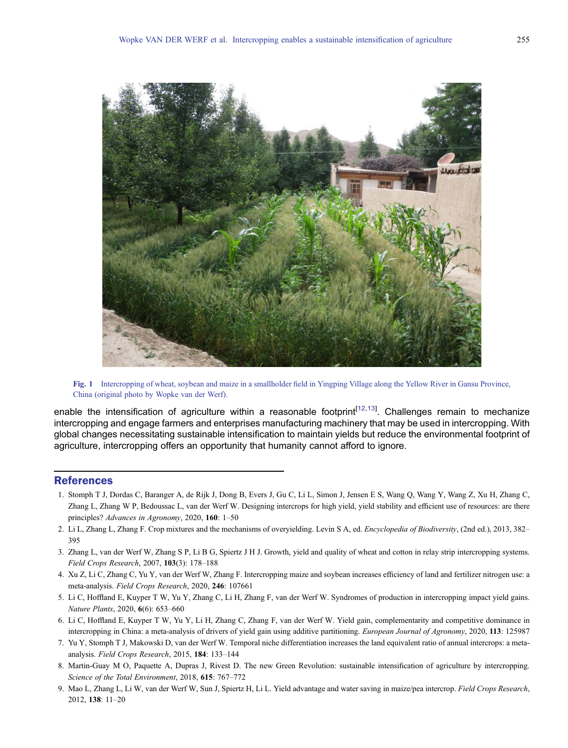<span id="page-1-0"></span>

Fig. 1 Intercropping of wheat, soybean and maize in a smallholder field in Yingping Village along the Yellow River in Gansu Province, China (original photo by Wopke van der Werf).

enable the intensification of agriculture within a reasonable footprint<sup>[[12,13](#page-2-0)]</sup>. Challenges remain to mechanize intercropping and engage farmers and enterprises manufacturing machinery that may be used in intercropping. With global changes necessitating sustainable intensification to maintain yields but reduce the environmental footprint of agriculture, intercropping offers an opportunity that humanity cannot afford to ignore.

## **References**

- 1. Stomph T J, Dordas C, Baranger A, de Rijk J, Dong B, Evers J, Gu C, Li L, Simon J, Jensen E S, Wang Q, Wang Y, Wang Z, Xu H, Zhang C, Zhang L, Zhang W P, Bedoussac L, van der Werf W. Designing intercrops for high yield, yield stability and efficient use of resources: are there principles? Advances in Agronomy, 2020, 160: 1–50
- 2. Li L, Zhang L, Zhang F. Crop mixtures and the mechanisms of overyielding. Levin S A, ed. *Encyclopedia of Biodiversity*, (2nd ed.), 2013, 382– 395
- 3. Zhang L, van der Werf W, Zhang S P, Li B G, Spiertz J H J. Growth, yield and quality of wheat and cotton in relay strip intercropping systems. Field Crops Research, 2007, 103(3): 178–188
- 4. Xu Z, Li C, Zhang C, Yu Y, van der Werf W, Zhang F. Intercropping maize and soybean increases efficiency of land and fertilizer nitrogen use: a meta-analysis. Field Crops Research, 2020, 246: 107661
- 5. Li C, Hoffland E, Kuyper T W, Yu Y, Zhang C, Li H, Zhang F, van der Werf W. Syndromes of production in intercropping impact yield gains. Nature Plants, 2020, 6(6): 653–660
- 6. Li C, Hoffland E, Kuyper T W, Yu Y, Li H, Zhang C, Zhang F, van der Werf W. Yield gain, complementarity and competitive dominance in intercropping in China: a meta-analysis of drivers of yield gain using additive partitioning. European Journal of Agronomy, 2020, 113: 125987
- 7. Yu Y, Stomph T J, Makowski D, van der Werf W. Temporal niche differentiation increases the land equivalent ratio of annual intercrops: a metaanalysis. Field Crops Research, 2015, 184: 133–144
- 8. Martin-Guay M O, Paquette A, Dupras J, Rivest D. The new Green Revolution: sustainable intensification of agriculture by intercropping. Science of the Total Environment, 2018, 615: 767–772
- 9. Mao L, Zhang L, Li W, van der Werf W, Sun J, Spiertz H, Li L. Yield advantage and water saving in maize/pea intercrop. Field Crops Research, 2012, 138: 11–20